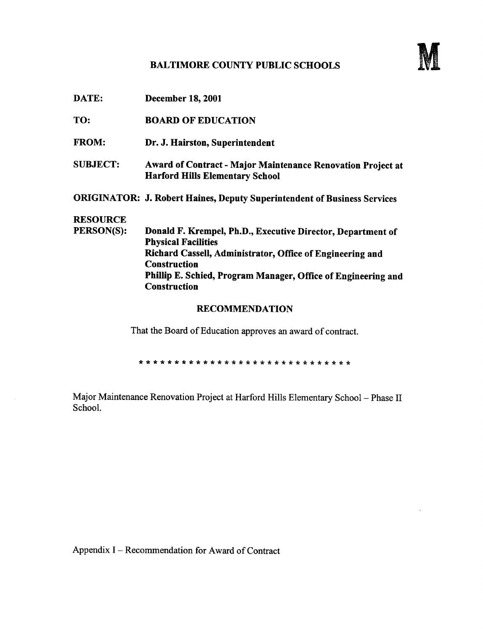## BALTIMORE COUNTY PUBLIC SCHOOLS



| DATE:           | <b>December 18, 2001</b>                                                                              |
|-----------------|-------------------------------------------------------------------------------------------------------|
| TO:             | <b>BOARD OF EDUCATION</b>                                                                             |
| <b>FROM:</b>    | Dr. J. Hairston, Superintendent                                                                       |
| <b>SUBJECT:</b> | Award of Contract - Major Maintenance Renovation Project at<br><b>Harford Hills Elementary School</b> |
|                 | <b>ORIGINATOR: J. Robert Haines, Deputy Superintendent of Business Services</b>                       |
| <b>RESOURCE</b> |                                                                                                       |
| PERSON(S):      | Donald F. Krempel, Ph.D., Executive Director, Department of<br><b>Physical Facilities</b>             |
|                 | Richard Cassell, Administrator, Office of Engineering and<br><b>Construction</b>                      |
|                 | Phillip E. Schied, Program Manager, Office of Engineering and<br><b>Construction</b>                  |
|                 | <b>RECOMMENDATION</b>                                                                                 |

That the Board of Education approves an award of contract.

 $\star$ 

Major Maintenance Renovation Project at Harford Hills Elementary School - Phase II School.

Appendix <sup>I</sup> - Recommendation for Award of Contract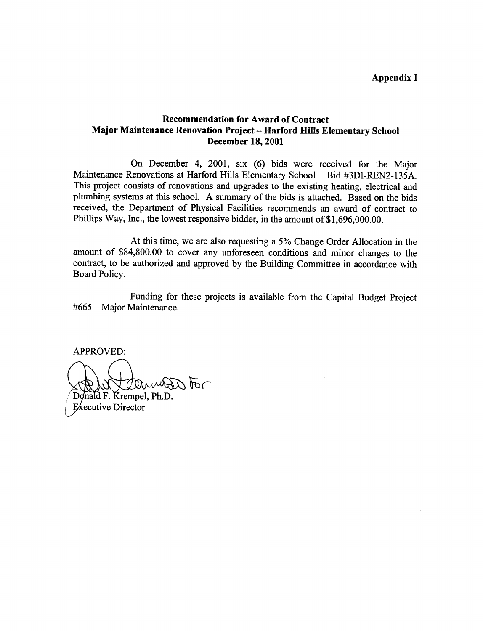## Recommendation for Award of Contract Major Maintenance Renovation Project - Harford Hills Elementary School December 18, 2001

On December 4, 2001, six (6) bids were received for the Major Maintenance Renovations at Harford Hills Elementary School - Bid #3DI-REN2-135A. This project consists of renovations and upgrades to the existing heating, electrical and plumbing systems at this school. A summary of the bids is attached. Based on the bids received, the Department of Physical Facilities recommends an award of contract to Phillips Way, Inc., the lowest responsive bidder, in the amount of \$1,696,000.00.

At this time, we are also requesting <sup>a</sup> 5% Change Order Allocation in the amount of \$84,800.00 to cover any unforeseen conditions and minor changes to the contract, to be authorized and approved by the Building Committee in accordance with Board Policy.

Funding for these projects is available from the Capital Budget Project #665 - Major Maintenance .

APPROVED:

Tanner For

Donald F. Krempel, Ph.D. Executive Director